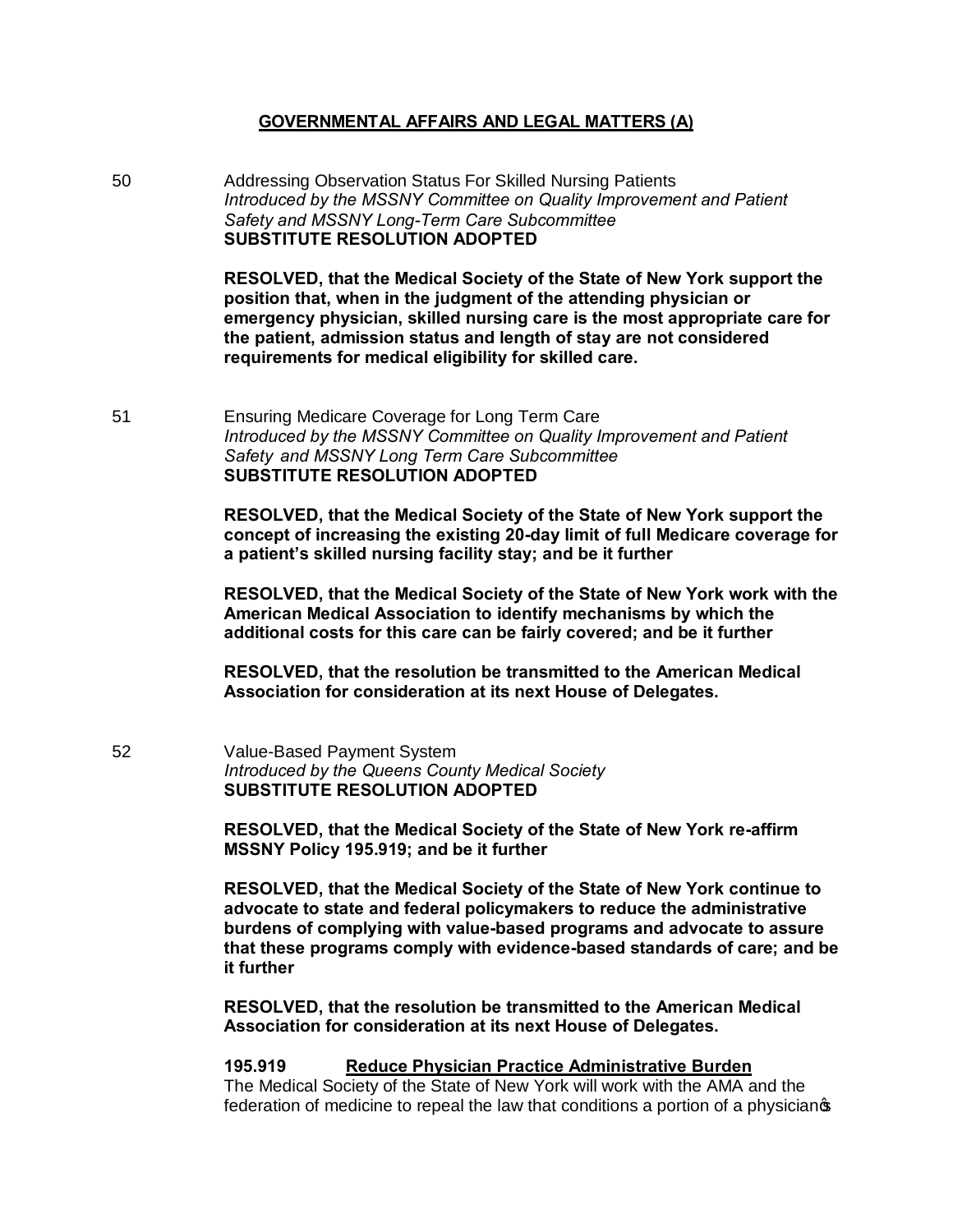## **GOVERNMENTAL AFFAIRS AND LEGAL MATTERS (A)**

50 Addressing Observation Status For Skilled Nursing Patients *Introduced by the MSSNY Committee on Quality Improvement and Patient Safety and MSSNY Long-Term Care Subcommittee* **SUBSTITUTE RESOLUTION ADOPTED**

> **RESOLVED, that the Medical Society of the State of New York support the position that, when in the judgment of the attending physician or emergency physician, skilled nursing care is the most appropriate care for the patient, admission status and length of stay are not considered requirements for medical eligibility for skilled care.**

51 Ensuring Medicare Coverage for Long Term Care *Introduced by the MSSNY Committee on Quality Improvement and Patient Safety and MSSNY Long Term Care Subcommittee* **SUBSTITUTE RESOLUTION ADOPTED**

> **RESOLVED, that the Medical Society of the State of New York support the concept of increasing the existing 20-day limit of full Medicare coverage for a patient's skilled nursing facility stay; and be it further**

> **RESOLVED, that the Medical Society of the State of New York work with the American Medical Association to identify mechanisms by which the additional costs for this care can be fairly covered; and be it further**

**RESOLVED, that the resolution be transmitted to the American Medical Association for consideration at its next House of Delegates.**

52 Value-Based Payment System *Introduced by the Queens County Medical Society* **SUBSTITUTE RESOLUTION ADOPTED**

> **RESOLVED, that the Medical Society of the State of New York re-affirm MSSNY Policy 195.919; and be it further**

**RESOLVED, that the Medical Society of the State of New York continue to advocate to state and federal policymakers to reduce the administrative burdens of complying with value-based programs and advocate to assure that these programs comply with evidence-based standards of care; and be it further** 

**RESOLVED, that the resolution be transmitted to the American Medical Association for consideration at its next House of Delegates.**

**195.919 Reduce Physician Practice Administrative Burden**  The Medical Society of the State of New York will work with the AMA and the federation of medicine to repeal the law that conditions a portion of a physicianos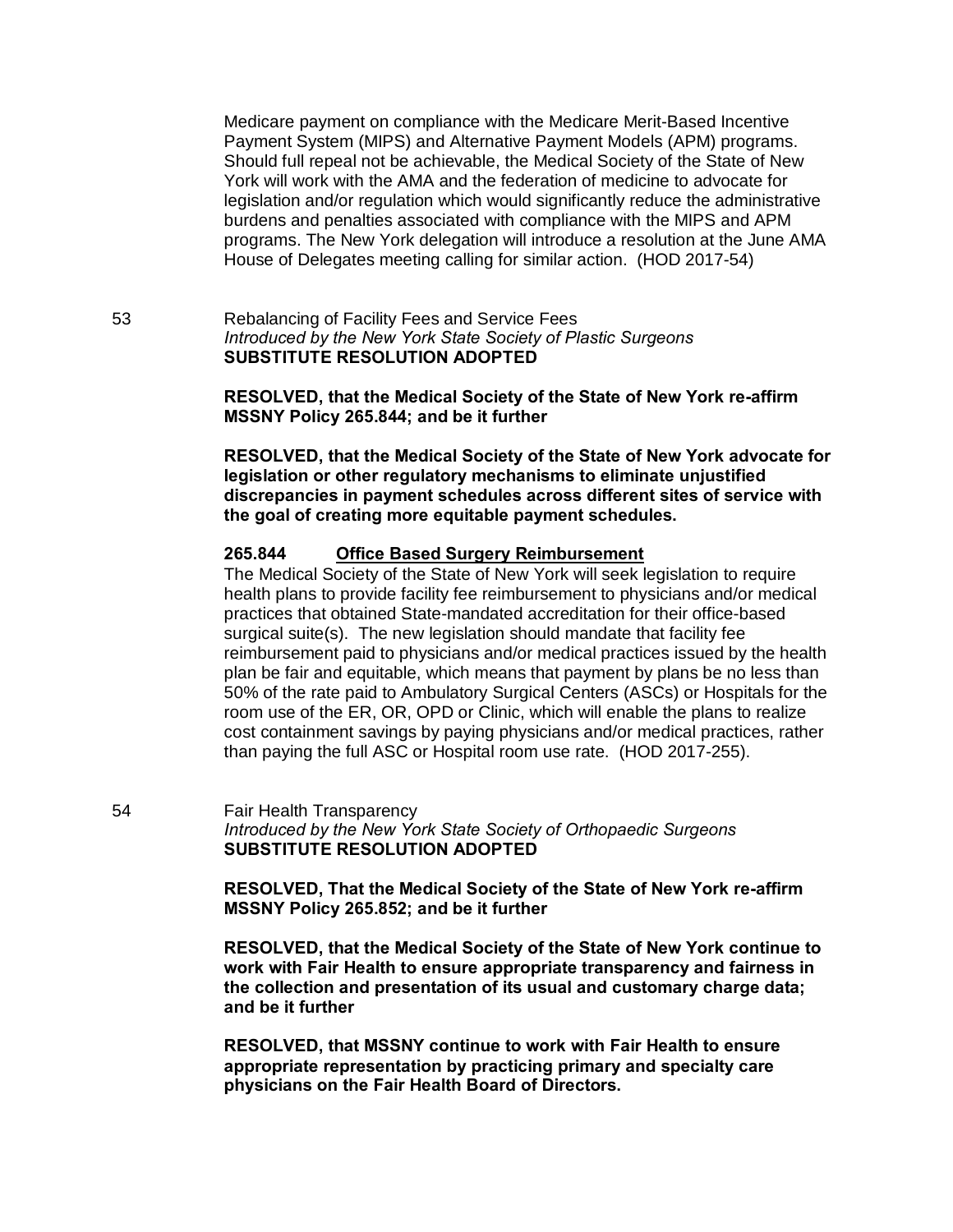Medicare payment on compliance with the Medicare Merit-Based Incentive Payment System (MIPS) and Alternative Payment Models (APM) programs. Should full repeal not be achievable, the Medical Society of the State of New York will work with the AMA and the federation of medicine to advocate for legislation and/or regulation which would significantly reduce the administrative burdens and penalties associated with compliance with the MIPS and APM programs. The New York delegation will introduce a resolution at the June AMA House of Delegates meeting calling for similar action. (HOD 2017-54)

53 Rebalancing of Facility Fees and Service Fees *Introduced by the New York State Society of Plastic Surgeons* **SUBSTITUTE RESOLUTION ADOPTED**

> **RESOLVED, that the Medical Society of the State of New York re-affirm MSSNY Policy 265.844; and be it further**

**RESOLVED, that the Medical Society of the State of New York advocate for legislation or other regulatory mechanisms to eliminate unjustified discrepancies in payment schedules across different sites of service with the goal of creating more equitable payment schedules.** 

#### **265.844 Office Based Surgery Reimbursement**

The Medical Society of the State of New York will seek legislation to require health plans to provide facility fee reimbursement to physicians and/or medical practices that obtained State-mandated accreditation for their office-based surgical suite(s). The new legislation should mandate that facility fee reimbursement paid to physicians and/or medical practices issued by the health plan be fair and equitable, which means that payment by plans be no less than 50% of the rate paid to Ambulatory Surgical Centers (ASCs) or Hospitals for the room use of the ER, OR, OPD or Clinic, which will enable the plans to realize cost containment savings by paying physicians and/or medical practices, rather than paying the full ASC or Hospital room use rate. (HOD 2017-255).

54 Fair Health Transparency *Introduced by the New York State Society of Orthopaedic Surgeons* **SUBSTITUTE RESOLUTION ADOPTED**

> **RESOLVED, That the Medical Society of the State of New York re-affirm MSSNY Policy 265.852; and be it further**

**RESOLVED, that the Medical Society of the State of New York continue to work with Fair Health to ensure appropriate transparency and fairness in the collection and presentation of its usual and customary charge data; and be it further** 

**RESOLVED, that MSSNY continue to work with Fair Health to ensure appropriate representation by practicing primary and specialty care physicians on the Fair Health Board of Directors.**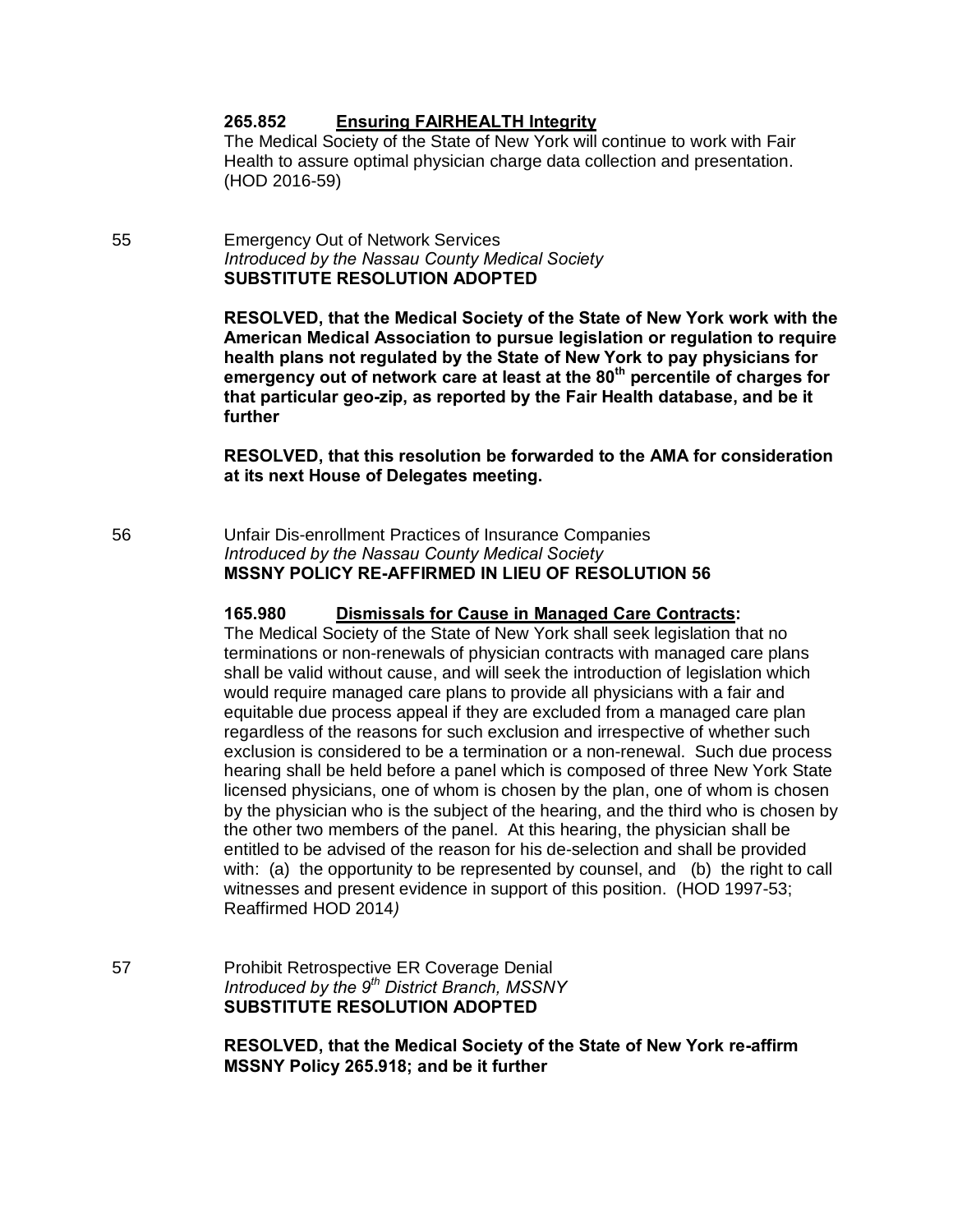### **265.852 Ensuring FAIRHEALTH Integrity**

The Medical Society of the State of New York will continue to work with Fair Health to assure optimal physician charge data collection and presentation. (HOD 2016-59)

55 Emergency Out of Network Services *Introduced by the Nassau County Medical Society* **SUBSTITUTE RESOLUTION ADOPTED**

> **RESOLVED, that the Medical Society of the State of New York work with the American Medical Association to pursue legislation or regulation to require health plans not regulated by the State of New York to pay physicians for emergency out of network care at least at the 80th percentile of charges for that particular geo-zip, as reported by the Fair Health database, and be it further**

> **RESOLVED, that this resolution be forwarded to the AMA for consideration at its next House of Delegates meeting.**

56 Unfair Dis-enrollment Practices of Insurance Companies *Introduced by the Nassau County Medical Society* **MSSNY POLICY RE-AFFIRMED IN LIEU OF RESOLUTION 56**

#### **165.980 Dismissals for Cause in Managed Care Contracts:**

The Medical Society of the State of New York shall seek legislation that no terminations or non-renewals of physician contracts with managed care plans shall be valid without cause, and will seek the introduction of legislation which would require managed care plans to provide all physicians with a fair and equitable due process appeal if they are excluded from a managed care plan regardless of the reasons for such exclusion and irrespective of whether such exclusion is considered to be a termination or a non-renewal. Such due process hearing shall be held before a panel which is composed of three New York State licensed physicians, one of whom is chosen by the plan, one of whom is chosen by the physician who is the subject of the hearing, and the third who is chosen by the other two members of the panel. At this hearing, the physician shall be entitled to be advised of the reason for his de-selection and shall be provided with: (a) the opportunity to be represented by counsel, and (b) the right to call witnesses and present evidence in support of this position. (HOD 1997-53; Reaffirmed HOD 2014*)*

57 Prohibit Retrospective ER Coverage Denial *Introduced by the 9th District Branch, MSSNY* **SUBSTITUTE RESOLUTION ADOPTED**

> **RESOLVED, that the Medical Society of the State of New York re-affirm MSSNY Policy 265.918; and be it further**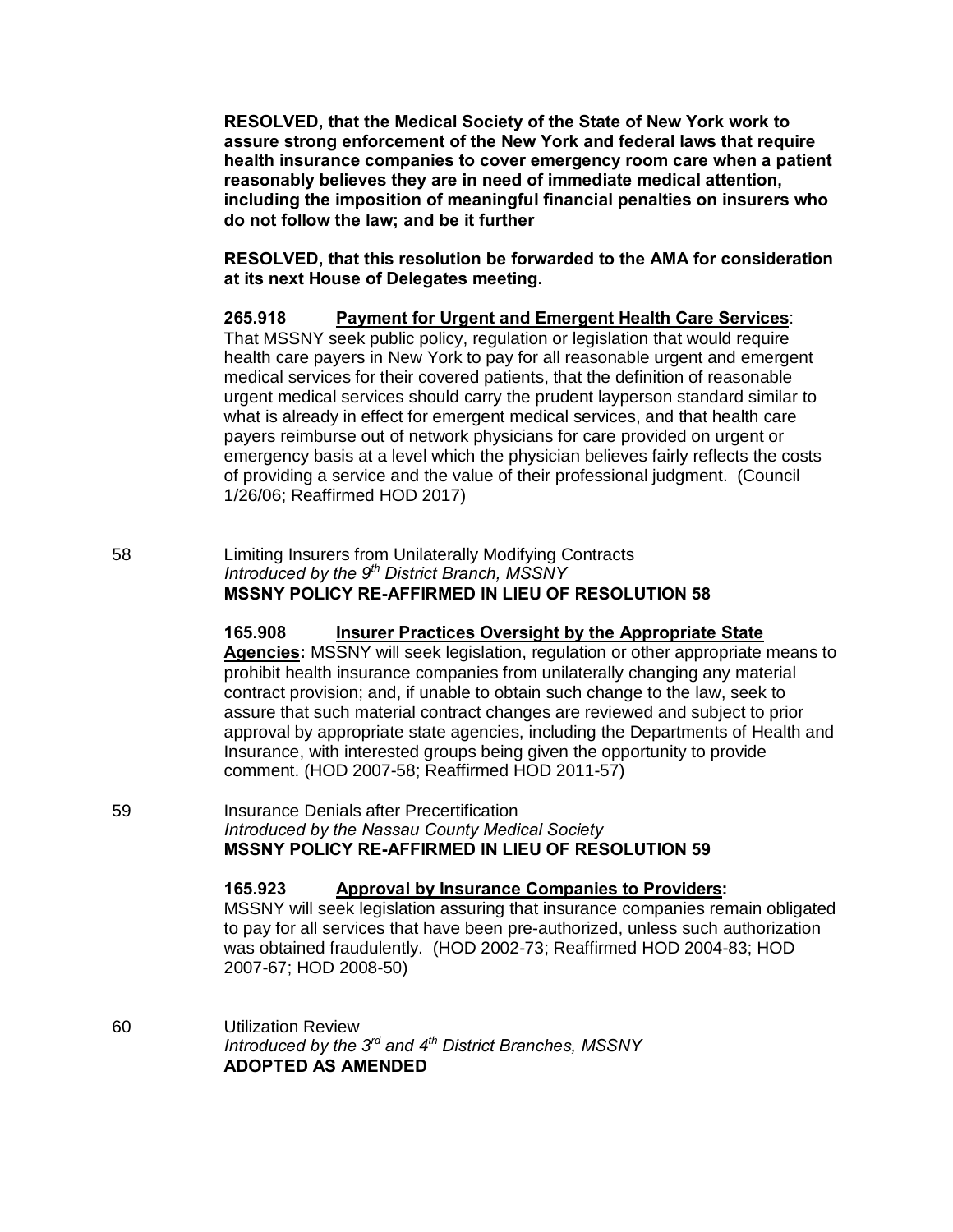**RESOLVED, that the Medical Society of the State of New York work to assure strong enforcement of the New York and federal laws that require health insurance companies to cover emergency room care when a patient reasonably believes they are in need of immediate medical attention, including the imposition of meaningful financial penalties on insurers who do not follow the law; and be it further**

**RESOLVED, that this resolution be forwarded to the AMA for consideration at its next House of Delegates meeting.**

**265.918 Payment for Urgent and Emergent Health Care Services**: That MSSNY seek public policy, regulation or legislation that would require health care payers in New York to pay for all reasonable urgent and emergent medical services for their covered patients, that the definition of reasonable urgent medical services should carry the prudent layperson standard similar to what is already in effect for emergent medical services, and that health care payers reimburse out of network physicians for care provided on urgent or

emergency basis at a level which the physician believes fairly reflects the costs of providing a service and the value of their professional judgment. (Council 1/26/06; Reaffirmed HOD 2017)

58 Limiting Insurers from Unilaterally Modifying Contracts *Introduced by the 9th District Branch, MSSNY* **MSSNY POLICY RE-AFFIRMED IN LIEU OF RESOLUTION 58**

# **165.908 Insurer Practices Oversight by the Appropriate State**

**Agencies:** MSSNY will seek legislation, regulation or other appropriate means to prohibit health insurance companies from unilaterally changing any material contract provision; and, if unable to obtain such change to the law, seek to assure that such material contract changes are reviewed and subject to prior approval by appropriate state agencies, including the Departments of Health and Insurance, with interested groups being given the opportunity to provide comment. (HOD 2007-58; Reaffirmed HOD 2011-57)

59 Insurance Denials after Precertification *Introduced by the Nassau County Medical Society* **MSSNY POLICY RE-AFFIRMED IN LIEU OF RESOLUTION 59**

**165.923 Approval by Insurance Companies to Providers:**

MSSNY will seek legislation assuring that insurance companies remain obligated to pay for all services that have been pre-authorized, unless such authorization was obtained fraudulently. (HOD 2002-73; Reaffirmed HOD 2004-83; HOD 2007-67; HOD 2008-50)

60 Utilization Review *Introduced by the 3rd and 4th District Branches, MSSNY* **ADOPTED AS AMENDED**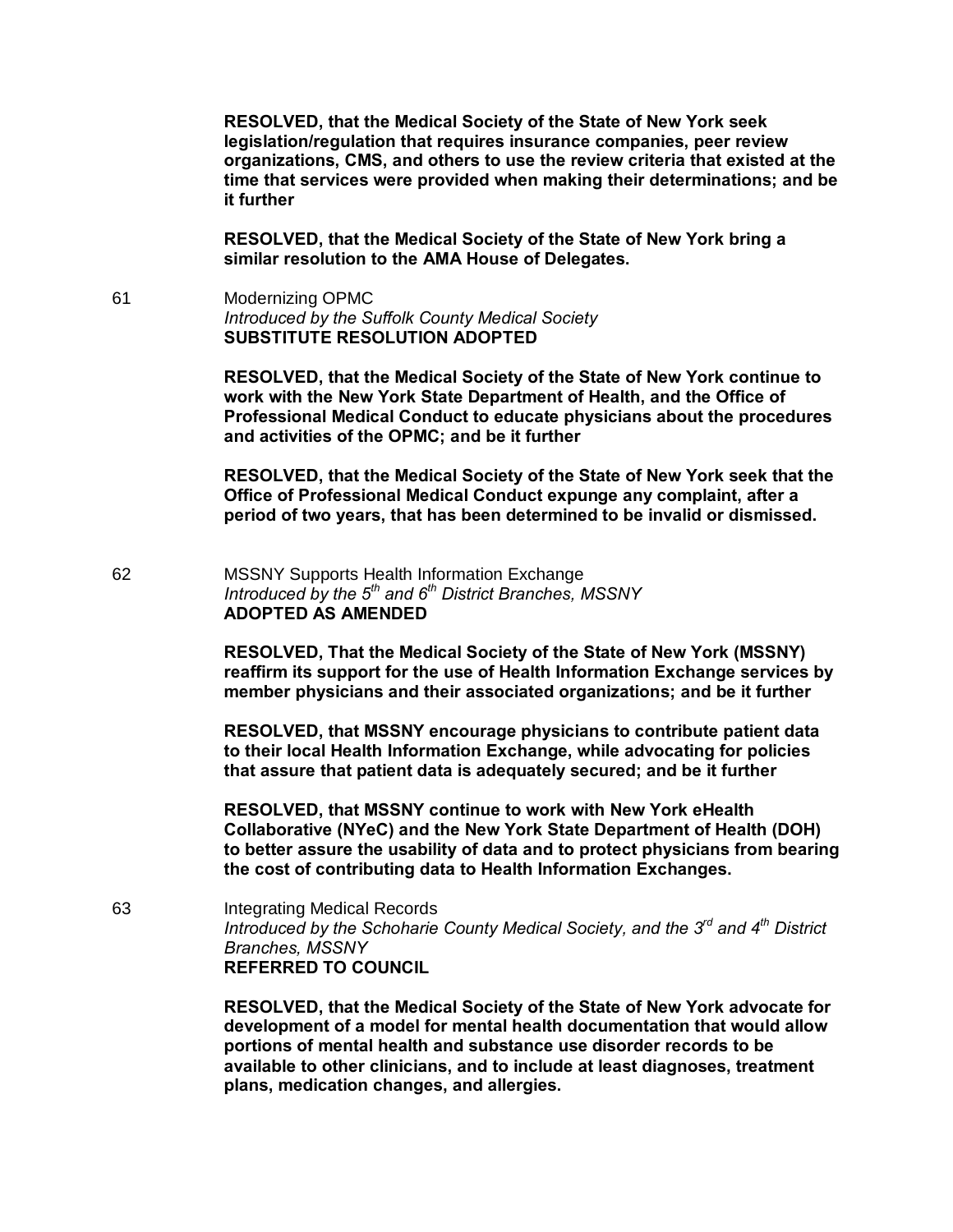**RESOLVED, that the Medical Society of the State of New York seek legislation/regulation that requires insurance companies, peer review organizations, CMS, and others to use the review criteria that existed at the time that services were provided when making their determinations; and be it further**

**RESOLVED, that the Medical Society of the State of New York bring a similar resolution to the AMA House of Delegates.**

61 Modernizing OPMC *Introduced by the Suffolk County Medical Society* **SUBSTITUTE RESOLUTION ADOPTED**

> **RESOLVED, that the Medical Society of the State of New York continue to work with the New York State Department of Health, and the Office of Professional Medical Conduct to educate physicians about the procedures and activities of the OPMC; and be it further**

> **RESOLVED, that the Medical Society of the State of New York seek that the Office of Professional Medical Conduct expunge any complaint, after a period of two years, that has been determined to be invalid or dismissed.**

62 MSSNY Supports Health Information Exchange *Introduced by the 5th and 6th District Branches, MSSNY* **ADOPTED AS AMENDED** 

> **RESOLVED, That the Medical Society of the State of New York (MSSNY) reaffirm its support for the use of Health Information Exchange services by member physicians and their associated organizations; and be it further**

**RESOLVED, that MSSNY encourage physicians to contribute patient data to their local Health Information Exchange, while advocating for policies that assure that patient data is adequately secured; and be it further**

**RESOLVED, that MSSNY continue to work with New York eHealth Collaborative (NYeC) and the New York State Department of Health (DOH) to better assure the usability of data and to protect physicians from bearing the cost of contributing data to Health Information Exchanges.**

63 Integrating Medical Records *Introduced by the Schoharie County Medical Society, and the 3rd and 4th District Branches, MSSNY* **REFERRED TO COUNCIL**

> **RESOLVED, that the Medical Society of the State of New York advocate for development of a model for mental health documentation that would allow portions of mental health and substance use disorder records to be available to other clinicians, and to include at least diagnoses, treatment plans, medication changes, and allergies.**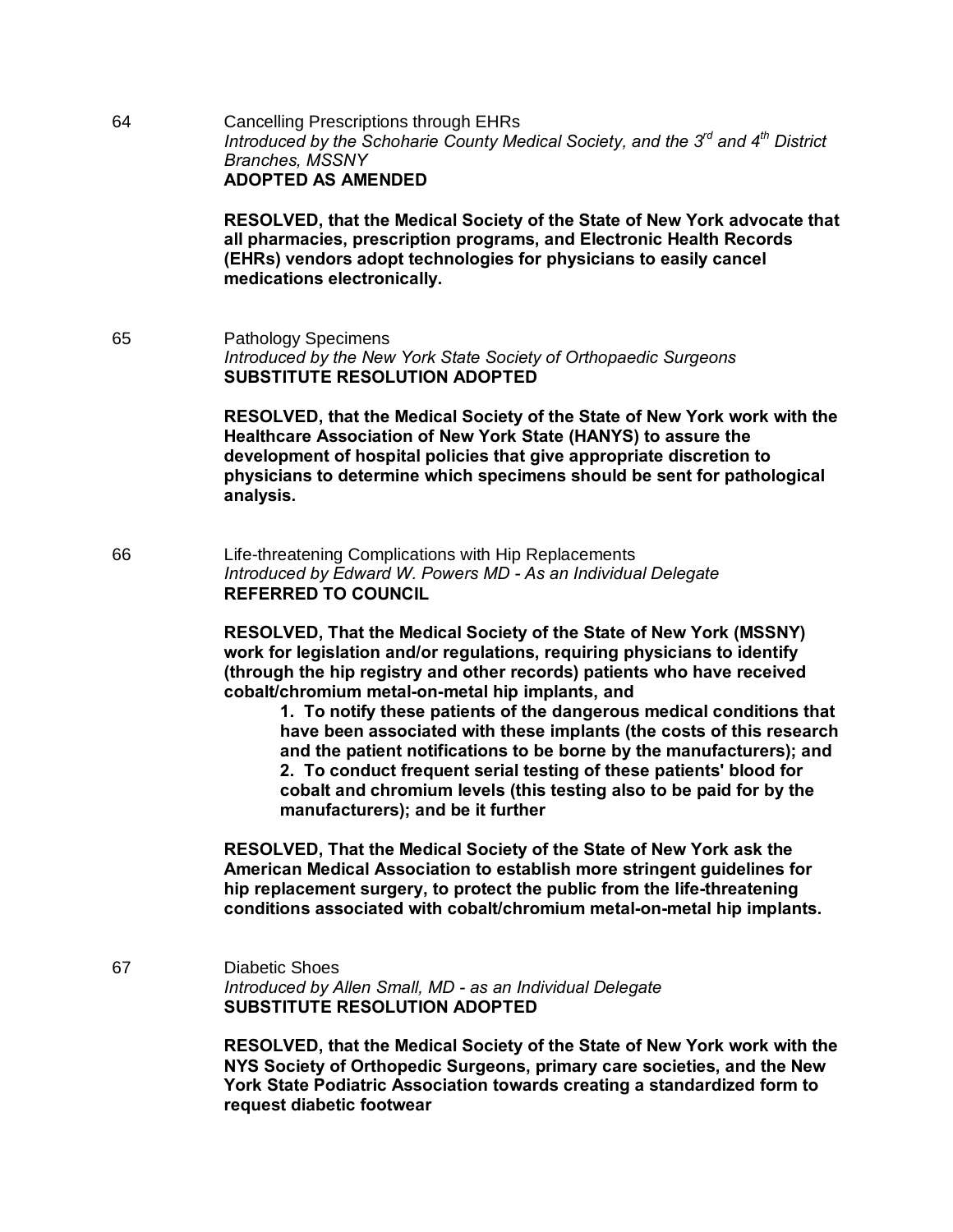64 Cancelling Prescriptions through EHRs *Introduced by the Schoharie County Medical Society, and the 3rd and 4th District Branches, MSSNY* **ADOPTED AS AMENDED** 

> **RESOLVED, that the Medical Society of the State of New York advocate that all pharmacies, prescription programs, and Electronic Health Records (EHRs) vendors adopt technologies for physicians to easily cancel medications electronically.**

65 Pathology Specimens *Introduced by the New York State Society of Orthopaedic Surgeons* **SUBSTITUTE RESOLUTION ADOPTED**

> **RESOLVED, that the Medical Society of the State of New York work with the Healthcare Association of New York State (HANYS) to assure the development of hospital policies that give appropriate discretion to physicians to determine which specimens should be sent for pathological analysis.**

66 Life-threatening Complications with Hip Replacements *Introduced by Edward W. Powers MD - As an Individual Delegate* **REFERRED TO COUNCIL**

> **RESOLVED, That the Medical Society of the State of New York (MSSNY) work for legislation and/or regulations, requiring physicians to identify (through the hip registry and other records) patients who have received cobalt/chromium metal-on-metal hip implants, and**

**1. To notify these patients of the dangerous medical conditions that have been associated with these implants (the costs of this research and the patient notifications to be borne by the manufacturers); and 2. To conduct frequent serial testing of these patients' blood for cobalt and chromium levels (this testing also to be paid for by the manufacturers); and be it further**

**RESOLVED, That the Medical Society of the State of New York ask the American Medical Association to establish more stringent guidelines for hip replacement surgery, to protect the public from the life-threatening conditions associated with cobalt/chromium metal-on-metal hip implants.**

67 Diabetic Shoes *Introduced by Allen Small, MD - as an Individual Delegate* **SUBSTITUTE RESOLUTION ADOPTED**

> **RESOLVED, that the Medical Society of the State of New York work with the NYS Society of Orthopedic Surgeons, primary care societies, and the New York State Podiatric Association towards creating a standardized form to request diabetic footwear**